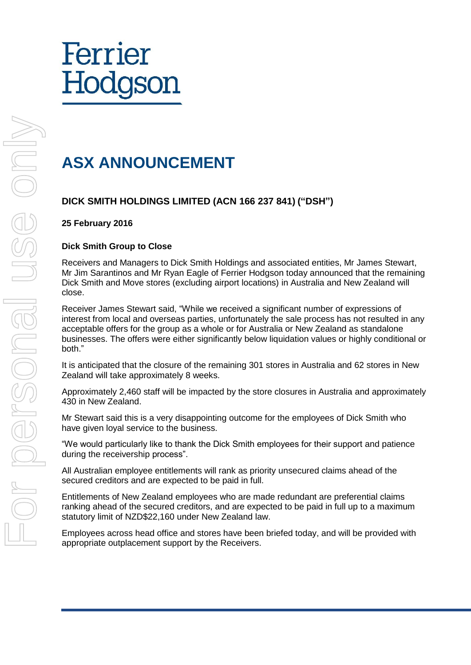# Ferrier Hodgson

### **ASX ANNOUNCEMENT**

#### **DICK SMITH HOLDINGS LIMITED (ACN 166 237 841) ("DSH")**

#### **25 February 2016**

#### **Dick Smith Group to Close**

Receivers and Managers to Dick Smith Holdings and associated entities, Mr James Stewart, Mr Jim Sarantinos and Mr Ryan Eagle of Ferrier Hodgson today announced that the remaining Dick Smith and Move stores (excluding airport locations) in Australia and New Zealand will close.

Receiver James Stewart said, "While we received a significant number of expressions of interest from local and overseas parties, unfortunately the sale process has not resulted in any acceptable offers for the group as a whole or for Australia or New Zealand as standalone businesses. The offers were either significantly below liquidation values or highly conditional or both."

It is anticipated that the closure of the remaining 301 stores in Australia and 62 stores in New Zealand will take approximately 8 weeks.

Approximately 2,460 staff will be impacted by the store closures in Australia and approximately 430 in New Zealand.

Mr Stewart said this is a very disappointing outcome for the employees of Dick Smith who have given loyal service to the business.

"We would particularly like to thank the Dick Smith employees for their support and patience during the receivership process".

All Australian employee entitlements will rank as priority unsecured claims ahead of the secured creditors and are expected to be paid in full.

Entitlements of New Zealand employees who are made redundant are preferential claims ranking ahead of the secured creditors, and are expected to be paid in full up to a maximum statutory limit of NZD\$22,160 under New Zealand law.

Employees across head office and stores have been briefed today, and will be provided with appropriate outplacement support by the Receivers.